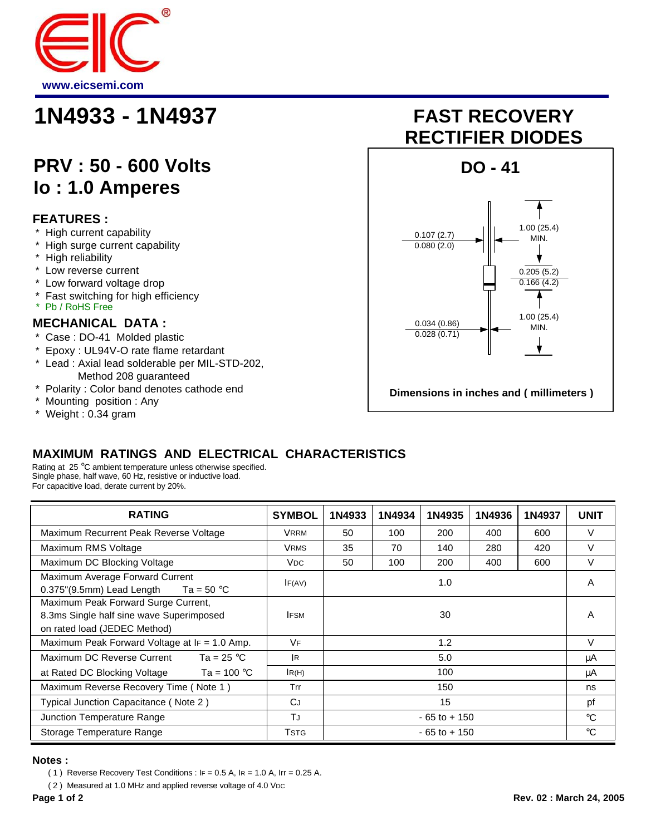

## **1N4933 - 1N4937 FAST RECOVERY**

### **PRV : 50 - 600 Volts Io : 1.0 Amperes**

#### **FEATURES :**

- \* High current capability
- \* High surge current capability
- \* High reliability
- \* Low reverse current
- \* Low forward voltage drop
- Fast switching for high efficiency
- \* Pb / RoHS Free

#### **MECHANICAL DATA :**

- \* Case : DO-41 Molded plastic
- \* Epoxy : UL94V-O rate flame retardant
- Lead : Axial lead solderable per MIL-STD-202, Method 208 guaranteed
- \* Polarity : Color band denotes cathode end
- \* Mounting position : Any
- \* Weight : 0.34 gram

# **RECTIFIER DIODES**



#### **MAXIMUM RATINGS AND ELECTRICAL CHARACTERISTICS**

Rating at 25 °C ambient temperature unless otherwise specified. Single phase, half wave, 60 Hz, resistive or inductive load. For capacitive load, derate current by 20%.

| <b>RATING</b>                                                                                                   | <b>SYMBOL</b> | 1N4933          | 1N4934 | 1N4935 | 1N4936 | 1N4937 | <b>UNIT</b> |
|-----------------------------------------------------------------------------------------------------------------|---------------|-----------------|--------|--------|--------|--------|-------------|
| Maximum Recurrent Peak Reverse Voltage                                                                          | <b>VRRM</b>   | 50              | 100    | 200    | 400    | 600    | $\vee$      |
| Maximum RMS Voltage                                                                                             | <b>VRMS</b>   | 35              | 70     | 140    | 280    | 420    | $\vee$      |
| Maximum DC Blocking Voltage                                                                                     | <b>VDC</b>    | 50              | 100    | 200    | 400    | 600    | V           |
| Maximum Average Forward Current<br>$0.375$ "(9.5mm) Lead Length<br>Ta = 50 °C                                   | IF(AV)        | 1.0             |        |        |        |        | A           |
| Maximum Peak Forward Surge Current,<br>8.3ms Single half sine wave Superimposed<br>on rated load (JEDEC Method) | <b>IFSM</b>   | 30              |        |        |        |        | A           |
| Maximum Peak Forward Voltage at IF = 1.0 Amp.                                                                   | <b>VF</b>     | 1.2             |        |        | V      |        |             |
| Ta = 25 $^{\circ}$ C<br>Maximum DC Reverse Current                                                              | IR.           | 5.0             |        |        |        |        | μA          |
| at Rated DC Blocking Voltage<br>Ta = 100 $^{\circ}$ C                                                           | IR(H)         |                 |        | 100    |        |        | μA          |
| Maximum Reverse Recovery Time (Note 1)                                                                          | Trr           | 150             |        |        |        |        | ns          |
| Typical Junction Capacitance (Note 2)                                                                           | <b>CJ</b>     |                 |        | 15     |        |        | pf          |
| Junction Temperature Range                                                                                      | TJ            | $-65$ to $+150$ |        |        |        |        | $^{\circ}C$ |
| Storage Temperature Range                                                                                       | <b>T</b> stg  | $-65$ to $+150$ |        |        |        |        | $^{\circ}C$ |

#### **Notes :**

(2) Measured at 1.0 MHz and applied reverse voltage of 4.0 V<sub>DC</sub>